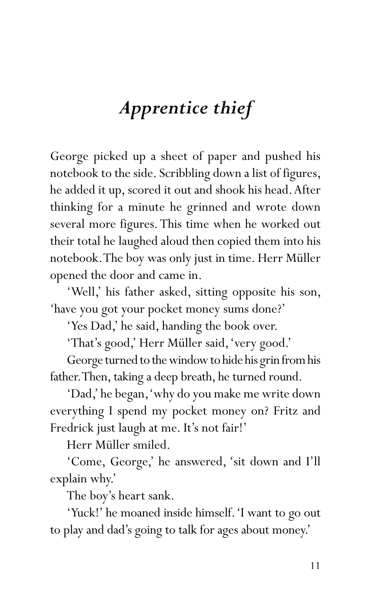## *Apprentice thief*

George picked up a sheet of paper and pushed his notebook to the side. Scribbling down a list of figures, he added it up, scored it out and shook his head. After thinking for a minute he grinned and wrote down several more figures. This time when he worked out their total he laughed aloud then copied them into his notebook. The boy was only just in time. Herr Müller opened the door and came in.

'Well,' his father asked, sitting opposite his son, 'have you got your pocket money sums done?'

'Yes Dad,' he said, handing the book over.

'That's good,' Herr Müller said, 'very good.'

George turned to the window to hide his grin from his father. Then, taking a deep breath, he turned round.

'Dad,' he began, 'why do you make me write down everything I spend my pocket money on? Fritz and Fredrick just laugh at me. It's not fair!'

Herr Müller smiled.

'Come, George,' he answered, 'sit down and I'll explain why.'

The boy's heart sank.

'Yuck!' he moaned inside himself. 'I want to go out to play and dad's going to talk for ages about money.'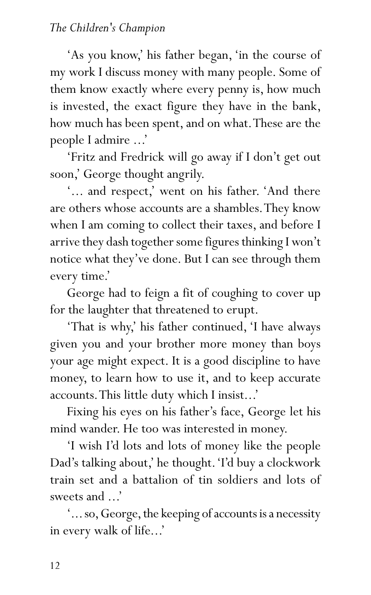## *The Children's Champion*

'As you know,' his father began, 'in the course of my work I discuss money with many people. Some of them know exactly where every penny is, how much is invested, the exact figure they have in the bank, how much has been spent, and on what. These are the people I admire ...'

'Fritz and Fredrick will go away if I don't get out soon,' George thought angrily.

'... and respect,' went on his father. 'And there are others whose accounts are a shambles. They know when I am coming to collect their taxes, and before I arrive they dash together some figures thinking I won't notice what they've done. But I can see through them every time.'

George had to feign a fit of coughing to cover up for the laughter that threatened to erupt.

'That is why,' his father continued, 'I have always given you and your brother more money than boys your age might expect. It is a good discipline to have money, to learn how to use it, and to keep accurate accounts. This little duty which I insist...'

Fixing his eyes on his father's face, George let his mind wander. He too was interested in money.

'I wish I'd lots and lots of money like the people Dad's talking about,' he thought. 'I'd buy a clockwork train set and a battalion of tin soldiers and lots of sweets and ...'

'... so, George, the keeping of accounts is a necessity in every walk of life...'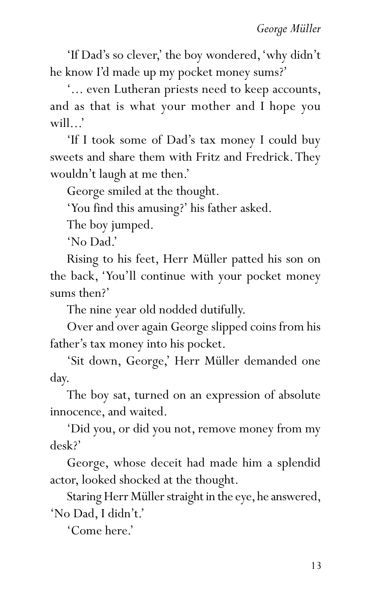'If Dad's so clever,' the boy wondered, 'why didn't he know I'd made up my pocket money sums?'

'... even Lutheran priests need to keep accounts, and as that is what your mother and I hope you will...'

'If I took some of Dad's tax money I could buy sweets and share them with Fritz and Fredrick. They wouldn't laugh at me then.'

George smiled at the thought.

'You find this amusing?' his father asked.

The boy jumped.

'No Dad.'

Rising to his feet, Herr Müller patted his son on the back, 'You'll continue with your pocket money sums then?'

The nine year old nodded dutifully.

Over and over again George slipped coins from his father's tax money into his pocket.

'Sit down, George,' Herr Müller demanded one day.

The boy sat, turned on an expression of absolute innocence, and waited.

'Did you, or did you not, remove money from my desk?'

George, whose deceit had made him a splendid actor, looked shocked at the thought.

Staring Herr Müller straight in the eye, he answered, 'No Dad, I didn't.'

'Come here.'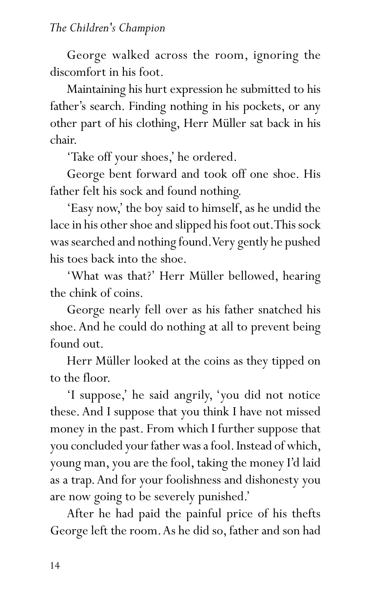George walked across the room, ignoring the discomfort in his foot.

Maintaining his hurt expression he submitted to his father's search. Finding nothing in his pockets, or any other part of his clothing, Herr Müller sat back in his chair.

'Take off your shoes,' he ordered.

George bent forward and took off one shoe. His father felt his sock and found nothing.

'Easy now,' the boy said to himself, as he undid the lace in his other shoe and slipped his foot out. This sock was searched and nothing found. Very gently he pushed his toes back into the shoe.

'What was that?' Herr Müller bellowed, hearing the chink of coins.

George nearly fell over as his father snatched his shoe. And he could do nothing at all to prevent being found out.

Herr Müller looked at the coins as they tipped on to the floor.

'I suppose,' he said angrily, 'you did not notice these. And I suppose that you think I have not missed money in the past. From which I further suppose that you concluded your father was a fool. Instead of which, young man, you are the fool, taking the money I'd laid as a trap. And for your foolishness and dishonesty you are now going to be severely punished.'

After he had paid the painful price of his thefts George left the room. As he did so, father and son had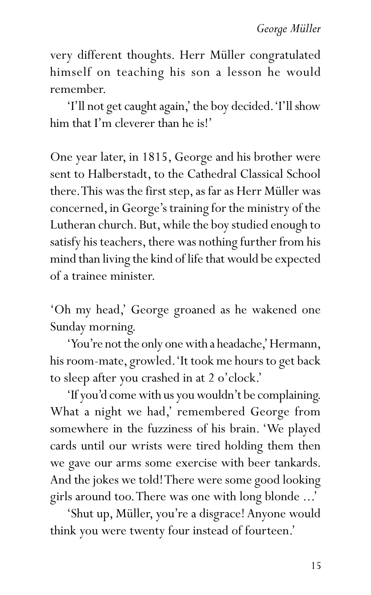very different thoughts. Herr Müller congratulated himself on teaching his son a lesson he would remember.

'I'll not get caught again,' the boy decided. 'I'll show him that I'm cleverer than he is!'

One year later, in 1815, George and his brother were sent to Halberstadt, to the Cathedral Classical School there. This was the first step, as far as Herr Müller was concerned, in George's training for the ministry of the Lutheran church. But, while the boy studied enough to satisfy his teachers, there was nothing further from his mind than living the kind of life that would be expected of a trainee minister.

'Oh my head,' George groaned as he wakened one Sunday morning.

'You're not the only one with a headache,' Hermann, his room-mate, growled. 'It took me hours to get back to sleep after you crashed in at 2 o'clock.'

'If you'd come with us you wouldn't be complaining. What a night we had,' remembered George from somewhere in the fuzziness of his brain. 'We played cards until our wrists were tired holding them then we gave our arms some exercise with beer tankards. And the jokes we told! There were some good looking girls around too. There was one with long blonde ...'

'Shut up, Müller, you're a disgrace! Anyone would think you were twenty four instead of fourteen.'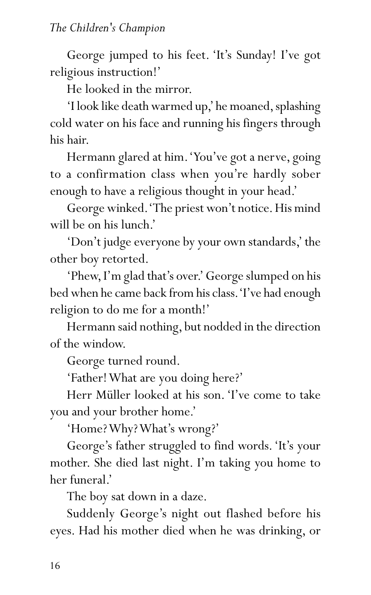George jumped to his feet. 'It's Sunday! I've got religious instruction!'

He looked in the mirror.

'I look like death warmed up,' he moaned, splashing cold water on his face and running his fingers through his hair.

Hermann glared at him. 'You've got a nerve, going to a confirmation class when you're hardly sober enough to have a religious thought in your head.'

George winked. 'The priest won't notice. His mind will be on his lunch.'

'Don't judge everyone by your own standards,' the other boy retorted.

'Phew, I'm glad that's over.' George slumped on his bed when he came back from his class. 'I've had enough religion to do me for a month!'

Hermann said nothing, but nodded in the direction of the window.

George turned round.

'Father! What are you doing here?'

Herr Müller looked at his son. 'I've come to take you and your brother home.'

'Home? Why? What's wrong?'

George's father struggled to find words. 'It's your mother. She died last night. I'm taking you home to her funeral.'

The boy sat down in a daze.

Suddenly George's night out flashed before his eyes. Had his mother died when he was drinking, or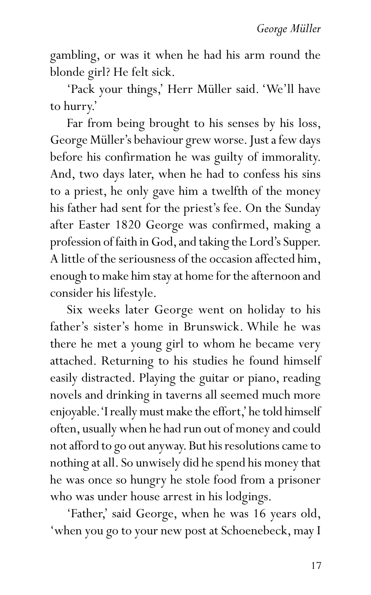gambling, or was it when he had his arm round the blonde girl? He felt sick.

'Pack your things,' Herr Müller said. 'We'll have to hurry.'

Far from being brought to his senses by his loss, George Müller's behaviour grew worse. Just a few days before his confirmation he was guilty of immorality. And, two days later, when he had to confess his sins to a priest, he only gave him a twelfth of the money his father had sent for the priest's fee. On the Sunday after Easter 1820 George was confirmed, making a profession of faith in God, and taking the Lord's Supper. A little of the seriousness of the occasion affected him, enough to make him stay at home for the afternoon and consider his lifestyle.

Six weeks later George went on holiday to his father's sister's home in Brunswick. While he was there he met a young girl to whom he became very attached. Returning to his studies he found himself easily distracted. Playing the guitar or piano, reading novels and drinking in taverns all seemed much more enjoyable. 'I really must make the effort,' he told himself often, usually when he had run out of money and could not afford to go out anyway. But his resolutions came to nothing at all. So unwisely did he spend his money that he was once so hungry he stole food from a prisoner who was under house arrest in his lodgings.

'Father,' said George, when he was 16 years old, 'when you go to your new post at Schoenebeck, may I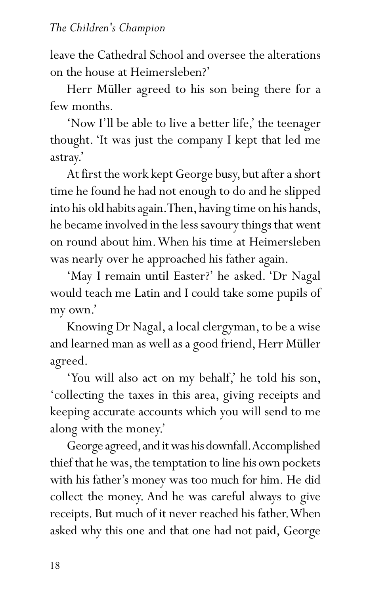leave the Cathedral School and oversee the alterations on the house at Heimersleben?'

Herr Müller agreed to his son being there for a few months.

'Now I'll be able to live a better life,' the teenager thought. 'It was just the company I kept that led me astray.'

At first the work kept George busy, but after a short time he found he had not enough to do and he slipped into his old habits again. Then, having time on his hands, he became involved in the less savoury things that went on round about him. When his time at Heimersleben was nearly over he approached his father again.

'May I remain until Easter?' he asked. 'Dr Nagal would teach me Latin and I could take some pupils of my own.'

Knowing Dr Nagal, a local clergyman, to be a wise and learned man as well as a good friend, Herr Müller agreed.

'You will also act on my behalf,' he told his son, 'collecting the taxes in this area, giving receipts and keeping accurate accounts which you will send to me along with the money.'

George agreed, and it was his downfall. Accomplished thief that he was, the temptation to line his own pockets with his father's money was too much for him. He did collect the money. And he was careful always to give receipts. But much of it never reached his father. When asked why this one and that one had not paid, George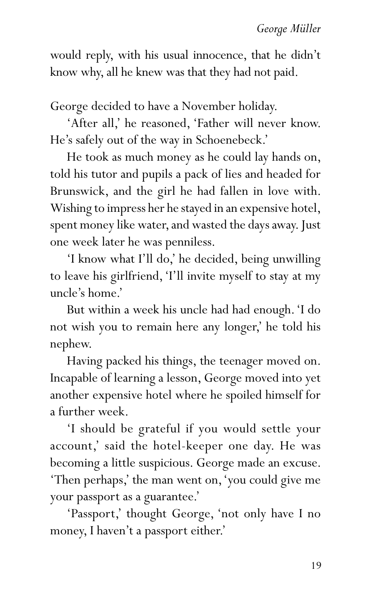would reply, with his usual innocence, that he didn't know why, all he knew was that they had not paid.

George decided to have a November holiday.

'After all,' he reasoned, 'Father will never know. He's safely out of the way in Schoenebeck.'

He took as much money as he could lay hands on, told his tutor and pupils a pack of lies and headed for Brunswick, and the girl he had fallen in love with. Wishing to impress her he stayed in an expensive hotel, spent money like water, and wasted the days away. Just one week later he was penniless.

'I know what I'll do,' he decided, being unwilling to leave his girlfriend, 'I'll invite myself to stay at my uncle's home.'

But within a week his uncle had had enough. 'I do not wish you to remain here any longer,' he told his nephew.

Having packed his things, the teenager moved on. Incapable of learning a lesson, George moved into yet another expensive hotel where he spoiled himself for a further week.

'I should be grateful if you would settle your account,' said the hotel-keeper one day. He was becoming a little suspicious. George made an excuse. 'Then perhaps,' the man went on, 'you could give me your passport as a guarantee.'

'Passport,' thought George, 'not only have I no money, I haven't a passport either.'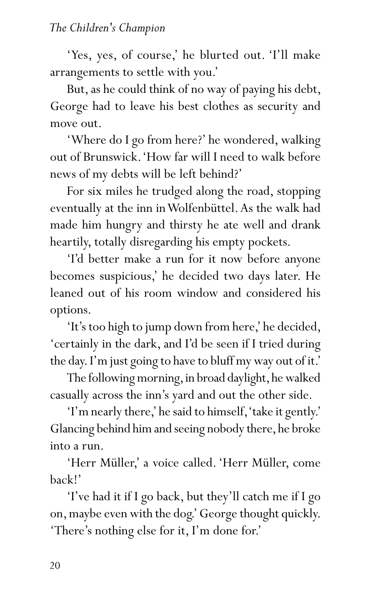'Yes, yes, of course,' he blurted out. 'I'll make arrangements to settle with you.'

But, as he could think of no way of paying his debt, George had to leave his best clothes as security and move out.

'Where do I go from here?' he wondered, walking out of Brunswick. 'How far will I need to walk before news of my debts will be left behind?'

For six miles he trudged along the road, stopping eventually at the inn in Wolfenbüttel. As the walk had made him hungry and thirsty he ate well and drank heartily, totally disregarding his empty pockets.

'I'd better make a run for it now before anyone becomes suspicious,' he decided two days later. He leaned out of his room window and considered his options.

'It's too high to jump down from here,' he decided, 'certainly in the dark, and I'd be seen if I tried during the day. I'm just going to have to bluff my way out of it.'

The following morning, in broad daylight, he walked casually across the inn's yard and out the other side.

'I'm nearly there,' he said to himself, 'take it gently.' Glancing behind him and seeing nobody there, he broke into a run.

'Herr Müller,' a voice called. 'Herr Müller, come back!'

'I've had it if I go back, but they'll catch me if I go on, maybe even with the dog.' George thought quickly. 'There's nothing else for it, I'm done for.'